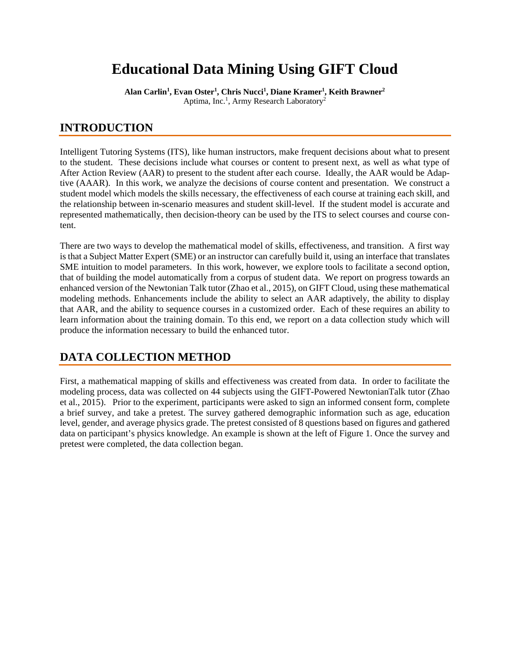# **Educational Data Mining Using GIFT Cloud**

**Alan Carlin1 , Evan Oster1 , Chris Nucci1 , Diane Kramer1 , Keith Brawner2** Aptima, Inc.<sup>1</sup>, Army Research Laboratory<sup>2</sup>

# **INTRODUCTION**

Intelligent Tutoring Systems (ITS), like human instructors, make frequent decisions about what to present to the student. These decisions include what courses or content to present next, as well as what type of After Action Review (AAR) to present to the student after each course. Ideally, the AAR would be Adaptive (AAAR). In this work, we analyze the decisions of course content and presentation. We construct a student model which models the skills necessary, the effectiveness of each course at training each skill, and the relationship between in-scenario measures and student skill-level. If the student model is accurate and represented mathematically, then decision-theory can be used by the ITS to select courses and course content.

There are two ways to develop the mathematical model of skills, effectiveness, and transition. A first way is that a Subject Matter Expert (SME) or an instructor can carefully build it, using an interface that translates SME intuition to model parameters. In this work, however, we explore tools to facilitate a second option, that of building the model automatically from a corpus of student data. We report on progress towards an enhanced version of the Newtonian Talk tutor (Zhao et al., 2015), on GIFT Cloud, using these mathematical modeling methods. Enhancements include the ability to select an AAR adaptively, the ability to display that AAR, and the ability to sequence courses in a customized order. Each of these requires an ability to learn information about the training domain. To this end, we report on a data collection study which will produce the information necessary to build the enhanced tutor.

# **DATA COLLECTION METHOD**

First, a mathematical mapping of skills and effectiveness was created from data. In order to facilitate the modeling process, data was collected on 44 subjects using the GIFT-Powered NewtonianTalk tutor (Zhao et al., 2015). Prior to the experiment, participants were asked to sign an informed consent form, complete a brief survey, and take a pretest. The survey gathered demographic information such as age, education level, gender, and average physics grade. The pretest consisted of 8 questions based on figures and gathered data on participant's physics knowledge. An example is shown at the left of Figure 1. Once the survey and pretest were completed, the data collection began.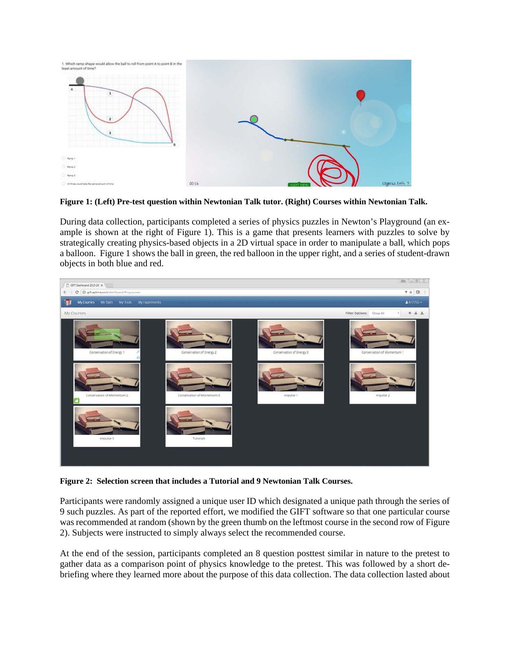

<span id="page-1-0"></span>**Figure 1: (Left) Pre-test question within Newtonian Talk tutor. (Right) Courses within Newtonian Talk.**

During data collection, participants completed a series of physics puzzles in Newton's Playground (an example is shown at the right of Figure 1). This is a game that presents learners with puzzles to solve by strategically creating physics-based objects in a 2D virtual space in order to manipulate a ball, which pops a balloon. [Figure 1](#page-1-0) shows the ball in green, the red balloon in the upper right, and a series of student-drawn objects in both blue and red.



**Figure 2: Selection screen that includes a Tutorial and 9 Newtonian Talk Courses.**

Participants were randomly assigned a unique user ID which designated a unique path through the series of 9 such puzzles. As part of the reported effort, we modified the GIFT software so that one particular course was recommended at random (shown by the green thumb on the leftmost course in the second row of Figure 2). Subjects were instructed to simply always select the recommended course.

At the end of the session, participants completed an 8 question posttest similar in nature to the pretest to gather data as a comparison point of physics knowledge to the pretest. This was followed by a short debriefing where they learned more about the purpose of this data collection. The data collection lasted about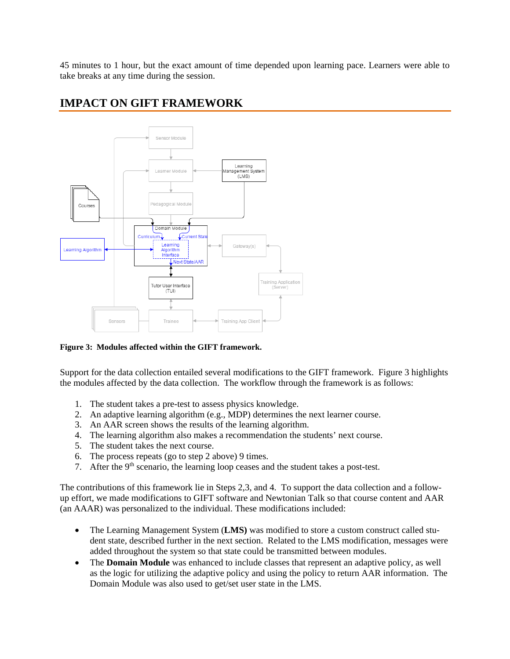45 minutes to 1 hour, but the exact amount of time depended upon learning pace. Learners were able to take breaks at any time during the session.

# **IMPACT ON GIFT FRAMEWORK**



## **Figure 3: Modules affected within the GIFT framework.**

Support for the data collection entailed several modifications to the GIFT framework. Figure 3 highlights the modules affected by the data collection. The workflow through the framework is as follows:

- 1. The student takes a pre-test to assess physics knowledge.
- 2. An adaptive learning algorithm (e.g., MDP) determines the next learner course.
- 3. An AAR screen shows the results of the learning algorithm.
- 4. The learning algorithm also makes a recommendation the students' next course.
- 5. The student takes the next course.
- 6. The process repeats (go to step 2 above) 9 times.
- 7. After the  $9<sup>th</sup>$  scenario, the learning loop ceases and the student takes a post-test.

The contributions of this framework lie in Steps 2,3, and 4. To support the data collection and a followup effort, we made modifications to GIFT software and Newtonian Talk so that course content and AAR (an AAAR) was personalized to the individual. These modifications included:

- The Learning Management System (LMS) was modified to store a custom construct called student state, described further in the next section. Related to the LMS modification, messages were added throughout the system so that state could be transmitted between modules.
- The **Domain Module** was enhanced to include classes that represent an adaptive policy, as well as the logic for utilizing the adaptive policy and using the policy to return AAR information. The Domain Module was also used to get/set user state in the LMS.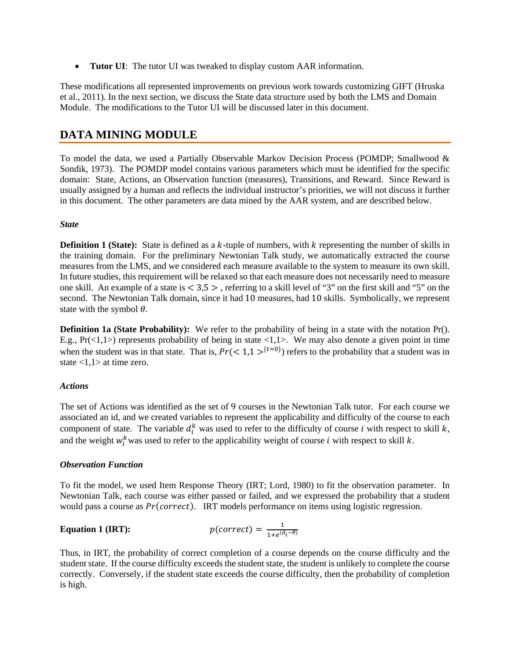• **Tutor UI**: The tutor UI was tweaked to display custom AAR information.

These modifications all represented improvements on previous work towards customizing GIFT (Hruska et al., 2011). In the next section, we discuss the State data structure used by both the LMS and Domain Module. The modifications to the Tutor UI will be discussed later in this document.

# **DATA MINING MODULE**

To model the data, we used a Partially Observable Markov Decision Process (POMDP; Smallwood & Sondik, 1973). The POMDP model contains various parameters which must be identified for the specific domain: State, Actions, an Observation function (measures), Transitions, and Reward. Since Reward is usually assigned by a human and reflects the individual instructor's priorities, we will not discuss it further in this document. The other parameters are data mined by the AAR system, and are described below.

# *State*

**Definition 1 (State):** State is defined as a  $k$ -tuple of numbers, with  $k$  representing the number of skills in the training domain. For the preliminary Newtonian Talk study, we automatically extracted the course measures from the LMS, and we considered each measure available to the system to measure its own skill. In future studies, this requirement will be relaxed so that each measure does not necessarily need to measure one skill. An example of a state is  $< 3.5 >$ , referring to a skill level of "3" on the first skill and "5" on the second. The Newtonian Talk domain, since it had 10 measures, had 10 skills. Symbolically, we represent state with the symbol  $\theta$ .

**Definition 1a (State Probability):** We refer to the probability of being in a state with the notation Pr(). E.g.,  $Pr(\le 1, 1)$  represents probability of being in state  $\le 1, 1$ . We may also denote a given point in time when the student was in that state. That is,  $Pr(< 1, 1 >^{t=0})$  refers to the probability that a student was in state <1,1> at time zero.

# *Actions*

The set of Actions was identified as the set of 9 courses in the Newtonian Talk tutor. For each course we associated an id, and we created variables to represent the applicability and difficulty of the course to each component of state. The variable  $d_i^k$  was used to refer to the difficulty of course *i* with respect to skill  $k$ , and the weight  $w_i^k$  was used to refer to the applicability weight of course *i* with respect to skill k.

# *Observation Function*

To fit the model, we used Item Response Theory (IRT; Lord, 1980) to fit the observation parameter. In Newtonian Talk, each course was either passed or failed, and we expressed the probability that a student would pass a course as  $Pr(correct)$ . IRT models performance on items using logistic regression.

# **Equation 1 (IRT):**  $p(correct) = \frac{1}{1+e^{(d_i-\theta)}}$

Thus, in IRT, the probability of correct completion of a course depends on the course difficulty and the student state. If the course difficulty exceeds the student state, the student is unlikely to complete the course correctly. Conversely, if the student state exceeds the course difficulty, then the probability of completion is high.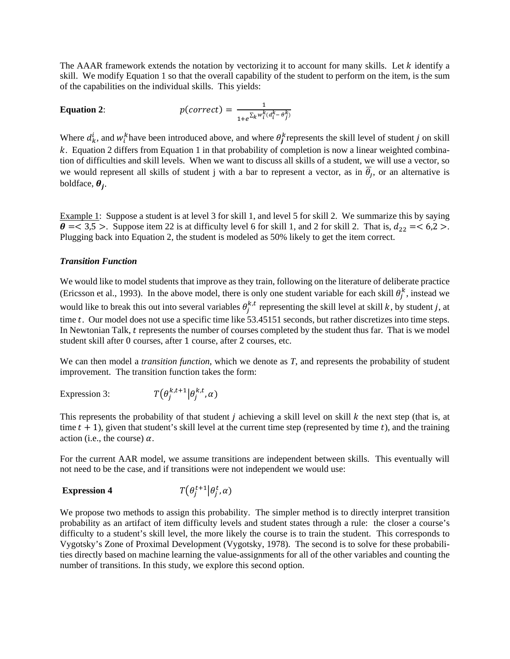The AAAR framework extends the notation by vectorizing it to account for many skills. Let  $k$  identify a skill. We modify Equation 1 so that the overall capability of the student to perform on the item, is the sum of the capabilities on the individual skills. This yields:

**Equation 2:** 
$$
p(correct) = \frac{1}{1+e^{\sum_{k} w_i^k (d_i^k - \theta_j^k)}}
$$

Where  $d_k^i$ , and  $w_i^k$  have been introduced above, and where  $\theta_j^k$  represents the skill level of student j on skill . Equation 2 differs from Equation 1 in that probability of completion is now a linear weighted combination of difficulties and skill levels. When we want to discuss all skills of a student, we will use a vector, so we would represent all skills of student j with a bar to represent a vector, as in  $\overline{\theta}_j$ , or an alternative is boldface,  $\theta_i$ .

Example 1: Suppose a student is at level 3 for skill 1, and level 5 for skill 2. We summarize this by saying  $\theta = 3.5$  >. Suppose item 22 is at difficulty level 6 for skill 1, and 2 for skill 2. That is,  $d_{22} = 6.2$  >. Plugging back into Equation 2, the student is modeled as 50% likely to get the item correct.

# *Transition Function*

We would like to model students that improve as they train, following on the literature of deliberate practice (Ericsson et al., 1993). In the above model, there is only one student variable for each skill  $\theta_j^k$ , instead we would like to break this out into several variables  $\theta_j^{k,t}$  representing the skill level at skill k, by student j, at time t. Our model does not use a specific time like 53.45151 seconds, but rather discretizes into time steps. In Newtonian Talk, t represents the number of courses completed by the student thus far. That is we model student skill after 0 courses, after 1 course, after 2 courses, etc.

We can then model a *transition function*, which we denote as *T*, and represents the probability of student improvement. The transition function takes the form:

Expression 3:  $\int_{i}^{k,t+1} \left| \theta_j^{k,t}, \alpha \right|$ 

This represents the probability of that student  $j$  achieving a skill level on skill  $k$  the next step (that is, at time  $t + 1$ , given that student's skill level at the current time step (represented by time t), and the training action (i.e., the course)  $\alpha$ .

For the current AAR model, we assume transitions are independent between skills. This eventually will not need to be the case, and if transitions were not independent we would use:

#### **Expression 4** �  $_{i}^{t+1}$  $|\theta_{j}^{t}, \alpha)$

We propose two methods to assign this probability. The simpler method is to directly interpret transition probability as an artifact of item difficulty levels and student states through a rule: the closer a course's difficulty to a student's skill level, the more likely the course is to train the student. This corresponds to Vygotsky's Zone of Proximal Development (Vygotsky, 1978). The second is to solve for these probabilities directly based on machine learning the value-assignments for all of the other variables and counting the number of transitions. In this study, we explore this second option.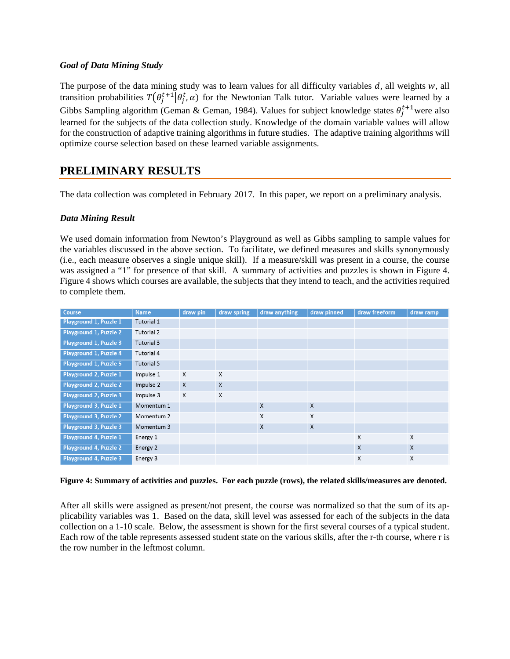# *Goal of Data Mining Study*

The purpose of the data mining study was to learn values for all difficulty variables  $d$ , all weights  $w$ , all transition probabilities  $T(\theta_j^{t+1} | \theta_j^t, \alpha)$  for the Newtonian Talk tutor. Variable values were learned by a Gibbs Sampling algorithm (Geman & Geman, 1984). Values for subject knowledge states  $\theta_j^{t+1}$  were also learned for the subjects of the data collection study. Knowledge of the domain variable values will allow for the construction of adaptive training algorithms in future studies. The adaptive training algorithms will optimize course selection based on these learned variable assignments.

# **PRELIMINARY RESULTS**

The data collection was completed in February 2017. In this paper, we report on a preliminary analysis.

# *Data Mining Result*

We used domain information from Newton's Playground as well as Gibbs sampling to sample values for the variables discussed in the above section. To facilitate, we defined measures and skills synonymously (i.e., each measure observes a single unique skill). If a measure/skill was present in a course, the course was assigned a "1" for presence of that skill. A summary of activities and puzzles is shown in [Figure 4.](#page-5-0)  Figure 4 shows which courses are available, the subjects that they intend to teach, and the activities required to complete them.

| <b>Course</b>                 | <b>Name</b> | draw pin     | draw spring | draw anything    | draw pinned | draw freeform | draw ramp                 |
|-------------------------------|-------------|--------------|-------------|------------------|-------------|---------------|---------------------------|
| Playground 1, Puzzle 1        | Tutorial 1  |              |             |                  |             |               |                           |
| Playground 1, Puzzle 2        | Tutorial 2  |              |             |                  |             |               |                           |
| Playground 1, Puzzle 3        | Tutorial 3  |              |             |                  |             |               |                           |
| Playground 1, Puzzle 4        | Tutorial 4  |              |             |                  |             |               |                           |
| Playground 1, Puzzle 5        | Tutorial 5  |              |             |                  |             |               |                           |
| Playground 2, Puzzle 1        | Impulse 1   | X            | X           |                  |             |               |                           |
| <b>Playground 2, Puzzle 2</b> | Impulse 2   | $\chi$       | X           |                  |             |               |                           |
| Playground 2, Puzzle 3        | Impulse 3   | $\mathsf{X}$ | X           |                  |             |               |                           |
| Playground 3, Puzzle 1        | Momentum 1  |              |             | $\boldsymbol{X}$ | X           |               |                           |
| <b>Playground 3, Puzzle 2</b> | Momentum 2  |              |             | X                | X           |               |                           |
| Playground 3, Puzzle 3        | Momentum 3  |              |             | $\mathsf{X}$     | X           |               |                           |
| Playground 4, Puzzle 1        | Energy 1    |              |             |                  |             | X             | $\boldsymbol{\mathsf{X}}$ |
| Playground 4, Puzzle 2        | Energy 2    |              |             |                  |             | X             | $\mathsf{X}$              |
| Playground 4, Puzzle 3        | Energy 3    |              |             |                  |             | X             | X                         |

## <span id="page-5-0"></span>**Figure 4: Summary of activities and puzzles. For each puzzle (rows), the related skills/measures are denoted.**

After all skills were assigned as present/not present, the course was normalized so that the sum of its applicability variables was 1. Based on the data, skill level was assessed for each of the subjects in the data collection on a 1-10 scale. Below, the assessment is shown for the first several courses of a typical student. Each row of the table represents assessed student state on the various skills, after the r-th course, where r is the row number in the leftmost column.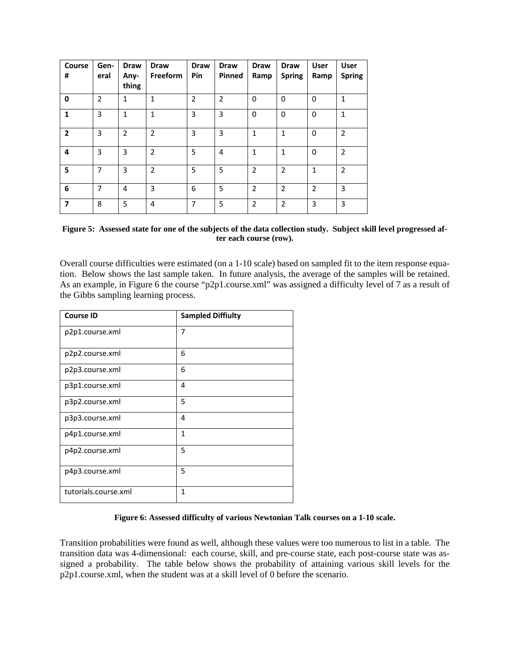| <b>Course</b><br>#       | Gen-<br>eral   | <b>Draw</b><br>Any-<br>thing | <b>Draw</b><br>Freeform | <b>Draw</b><br>Pin | <b>Draw</b><br>Pinned | <b>Draw</b><br>Ramp | <b>Draw</b><br><b>Spring</b> | <b>User</b><br>Ramp | <b>User</b><br><b>Spring</b> |
|--------------------------|----------------|------------------------------|-------------------------|--------------------|-----------------------|---------------------|------------------------------|---------------------|------------------------------|
| $\mathbf 0$              | $\overline{2}$ | $\mathbf{1}$                 | $\mathbf{1}$            | $\overline{2}$     | $\overline{2}$        | 0                   | 0                            | 0                   | 1                            |
| $\mathbf{1}$             | 3              | $\mathbf{1}$                 | $\mathbf{1}$            | 3                  | 3                     | 0                   | 0                            | 0                   | 1                            |
| $\overline{2}$           | 3              | $\overline{2}$               | $\overline{2}$          | 3                  | 3                     | 1                   | 1                            | 0                   | $\overline{2}$               |
| 4                        | 3              | 3                            | $\overline{2}$          | 5                  | 4                     | 1                   | 1                            | 0                   | $\overline{2}$               |
| 5                        | 7              | 3                            | $\overline{2}$          | 5                  | 5                     | $\overline{2}$      | $\overline{2}$               | 1                   | $\overline{2}$               |
| 6                        | 7              | 4                            | $\overline{3}$          | 6                  | 5                     | $\overline{2}$      | $\overline{2}$               | $\overline{2}$      | 3                            |
| $\overline{\phantom{a}}$ | 8              | 5                            | 4                       | 7                  | 5                     | $\overline{2}$      | $\overline{2}$               | 3                   | 3                            |

**Figure 5: Assessed state for one of the subjects of the data collection study. Subject skill level progressed after each course (row).**

Overall course difficulties were estimated (on a 1-10 scale) based on sampled fit to the item response equation. Below shows the last sample taken. In future analysis, the average of the samples will be retained. As an example, in Figure 6 the course "p2p1.course.xml" was assigned a difficulty level of 7 as a result of the Gibbs sampling learning process.

| <b>Course ID</b>     | <b>Sampled Diffiulty</b> |
|----------------------|--------------------------|
| p2p1.course.xml      | 7                        |
| p2p2.course.xml      | 6                        |
| p2p3.course.xml      | 6                        |
| p3p1.course.xml      | 4                        |
| p3p2.course.xml      | 5                        |
| p3p3.course.xml      | 4                        |
| p4p1.course.xml      | $\mathbf{1}$             |
| p4p2.course.xml      | 5                        |
| p4p3.course.xml      | 5                        |
| tutorials.course.xml | $\mathbf{1}$             |

## **Figure 6: Assessed difficulty of various Newtonian Talk courses on a 1-10 scale.**

Transition probabilities were found as well, although these values were too numerous to list in a table. The transition data was 4-dimensional: each course, skill, and pre-course state, each post-course state was assigned a probability. The table below shows the probability of attaining various skill levels for the p2p1.course.xml, when the student was at a skill level of 0 before the scenario.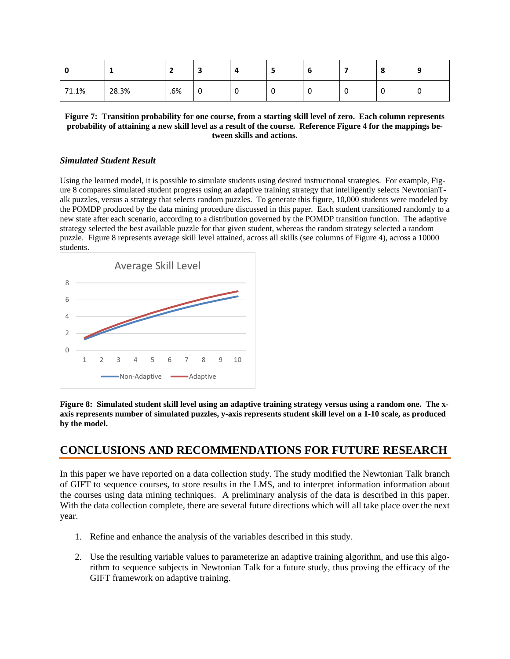|       |       | -   | ۰ | 4 | -   | o |     | o | O  |
|-------|-------|-----|---|---|-----|---|-----|---|----|
| 71.1% | 28.3% | .6% | 0 | υ | - U | v | . u | ν | ັບ |

**Figure 7: Transition probability for one course, from a starting skill level of zero. Each column represents probability of attaining a new skill level as a result of the course. Referenc[e Figure 4](#page-5-0) for the mappings between skills and actions.**

## *Simulated Student Result*

Using the learned model, it is possible to simulate students using desired instructional strategies. For example, Figure 8 compares simulated student progress using an adaptive training strategy that intelligently selects NewtonianTalk puzzles, versus a strategy that selects random puzzles. To generate this figure, 10,000 students were modeled by the POMDP produced by the data mining procedure discussed in this paper. Each student transitioned randomly to a new state after each scenario, according to a distribution governed by the POMDP transition function. The adaptive strategy selected the best available puzzle for that given student, whereas the random strategy selected a random puzzle. Figure 8 represents average skill level attained, across all skills (see columns of Figure 4), across a 10000 students.



**Figure 8: Simulated student skill level using an adaptive training strategy versus using a random one. The xaxis represents number of simulated puzzles, y-axis represents student skill level on a 1-10 scale, as produced by the model.**

# **CONCLUSIONS AND RECOMMENDATIONS FOR FUTURE RESEARCH**

In this paper we have reported on a data collection study. The study modified the Newtonian Talk branch of GIFT to sequence courses, to store results in the LMS, and to interpret information information about the courses using data mining techniques. A preliminary analysis of the data is described in this paper. With the data collection complete, there are several future directions which will all take place over the next year.

- 1. Refine and enhance the analysis of the variables described in this study.
- 2. Use the resulting variable values to parameterize an adaptive training algorithm, and use this algorithm to sequence subjects in Newtonian Talk for a future study, thus proving the efficacy of the GIFT framework on adaptive training.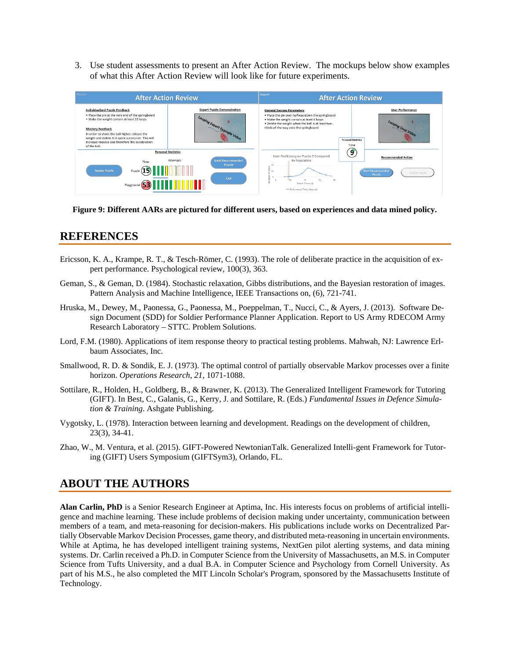3. Use student assessments to present an After Action Review. The mockups below show examples of what this After Action Review will look like for future experiments.



**Figure 9: Different AARs are pictured for different users, based on experiences and data mined policy.**

# **REFERENCES**

- Ericsson, K. A., Krampe, R. T., & Tesch-Römer, C. (1993). The role of deliberate practice in the acquisition of expert performance. Psychological review, 100(3), 363.
- Geman, S., & Geman, D. (1984). Stochastic relaxation, Gibbs distributions, and the Bayesian restoration of images. Pattern Analysis and Machine Intelligence, IEEE Transactions on, (6), 721-741.
- Hruska, M., Dewey, M., Paonessa, G., Paonessa, M., Poeppelman, T., Nucci, C., & Ayers, J. (2013). Software Design Document (SDD) for Soldier Performance Planner Application. Report to US Army RDECOM Army Research Laboratory – STTC. Problem Solutions.
- Lord, F.M. (1980). Applications of item response theory to practical testing problems. Mahwah, NJ: Lawrence Erlbaum Associates, Inc.
- Smallwood, R. D. & Sondik, E. J. (1973). The optimal control of partially observable Markov processes over a finite horizon. *Operations Research, 21*, 1071-1088.
- Sottilare, R., Holden, H., Goldberg, B., & Brawner, K. (2013). The Generalized Intelligent Framework for Tutoring (GIFT). In Best, C., Galanis, G., Kerry, J. and Sottilare, R. (Eds.) *Fundamental Issues in Defence Simulation & Training*. Ashgate Publishing.
- Vygotsky, L. (1978). Interaction between learning and development. Readings on the development of children, 23(3), 34-41.
- Zhao, W., M. Ventura, et al. (2015). GIFT-Powered NewtonianTalk. Generalized Intelli-gent Framework for Tutoring (GIFT) Users Symposium (GIFTSym3), Orlando, FL.

# **ABOUT THE AUTHORS**

**Alan Carlin, PhD** is a Senior Research Engineer at Aptima, Inc. His interests focus on problems of artificial intelligence and machine learning. These include problems of decision making under uncertainty, communication between members of a team, and meta-reasoning for decision-makers. His publications include works on Decentralized Partially Observable Markov Decision Processes, game theory, and distributed meta-reasoning in uncertain environments. While at Aptima, he has developed intelligent training systems, NextGen pilot alerting systems, and data mining systems. Dr. Carlin received a Ph.D. in Computer Science from the University of Massachusetts, an M.S. in Computer Science from Tufts University, and a dual B.A. in Computer Science and Psychology from Cornell University. As part of his M.S., he also completed the MIT Lincoln Scholar's Program, sponsored by the Massachusetts Institute of Technology.